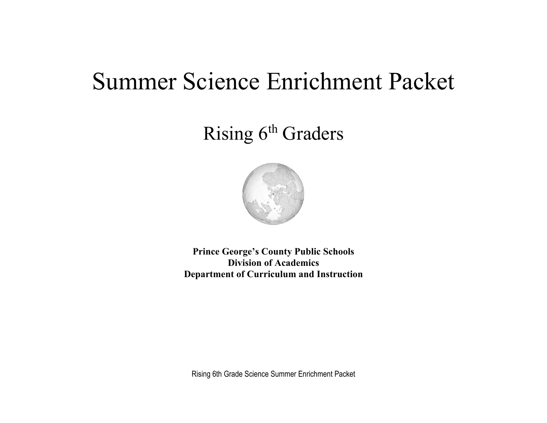# Summer Science Enrichment Packet

## Rising 6<sup>th</sup> Graders



**Prince George's County Public Schools Division of Academics Department of Curriculum and Instruction**

Rising 6th Grade Science Summer Enrichment Packet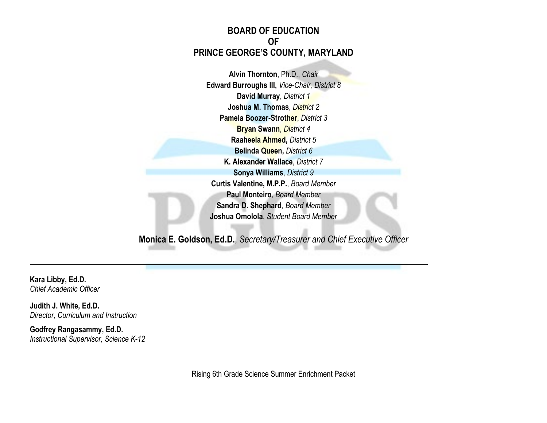#### **BOARD OF EDUCATION OF PRINCE GEORGE'S COUNTY, MARYLAND**

**Alvin Thornton**, Ph.D., *Chair* **Edward Burroughs III,** *Vice-Chair, District 8* **David Murray**, *District 1* **Joshua M. Thomas**, *District 2* **Pamela Boozer-Strother**, *District 3* **Bryan Swann**, *District 4* **Raaheela Ahmed,** *District 5* **Belinda Queen,** *District 6* **K. Alexander Wallace**, *District 7* **Sonya Williams**, *District 9* **Curtis Valentine, M.P.P.**, *Board Member* **Paul Monteiro***, Board Member* **Sandra D. Shephard***, Board Member* **Joshua Omolola**, *Student Board Member*

**Monica E. Goldson, Ed.D.**, *Secretary/Treasurer and Chief Executive Officer*

**Kara Libby, Ed.D.** *Chief Academic Officer*

**Judith J. White, Ed.D.** *Director, Curriculum and Instruction*

**Godfrey Rangasammy, Ed.D.** *Instructional Supervisor, Science K-12*

Rising 6th Grade Science Summer Enrichment Packet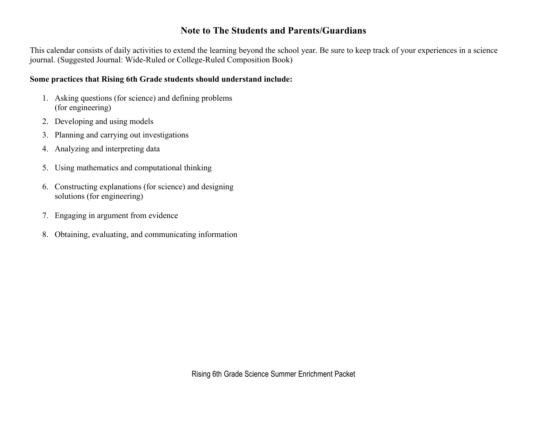#### **Note to The Students and Parents/Guardians**

This calendar consists of daily activities to extend the learning beyond the school year. Be sure to keep track of your experiences in a science journal. (Suggested Journal: Wide-Ruled or College-Ruled Composition Book)

#### **Some practices that Rising 6th Grade students should understand include:**

- 1. Asking questions (for science) and defining problems (for engineering)
- 2. Developing and using models
- 3. Planning and carrying out investigations
- 4. Analyzing and interpreting data
- 5. Using mathematics and computational thinking
- 6. Constructing explanations (for science) and designing solutions (for engineering)
- 7. Engaging in argument from evidence
- 8. Obtaining, evaluating, and communicating information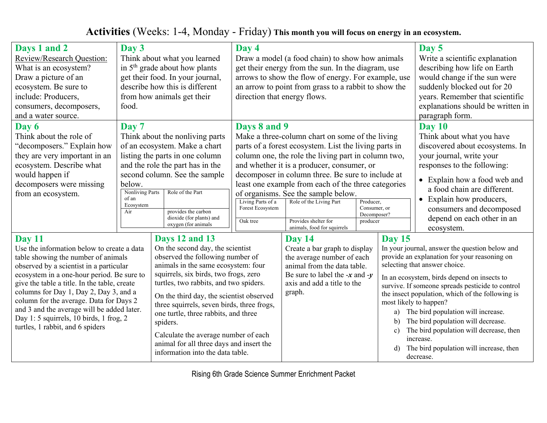### **Activities** (Weeks: 1-4, Monday - Friday) **This month you will focus on energy in an ecosystem.**

| Days 1 and 2<br>Review/Research Question:<br>What is an ecosystem?<br>Draw a picture of an<br>ecosystem. Be sure to<br>include: Producers,<br>consumers, decomposers,<br>and a water source.                                                                                                                                                                                                                                                           | Day 3<br>food.                                                         | Think about what you learned<br>in $5th$ grade about how plants<br>get their food. In your journal,<br>describe how this is different<br>from how animals get their                                                                                                                                                                                                                                                                                                                    | Day 4<br>Draw a model (a food chain) to show how animals<br>get their energy from the sun. In the diagram, use<br>arrows to show the flow of energy. For example, use<br>an arrow to point from grass to a rabbit to show the<br>direction that energy flows. |                                                                                                                                                                                                                                                                                                                                                                                                                                                    |                                                      |                                                  | Day 5<br>Write a scientific explanation<br>describing how life on Earth<br>would change if the sun were<br>suddenly blocked out for 20<br>years. Remember that scientific<br>explanations should be written in<br>paragraph form.                                                                                                                                                                                                                                                                            |  |
|--------------------------------------------------------------------------------------------------------------------------------------------------------------------------------------------------------------------------------------------------------------------------------------------------------------------------------------------------------------------------------------------------------------------------------------------------------|------------------------------------------------------------------------|----------------------------------------------------------------------------------------------------------------------------------------------------------------------------------------------------------------------------------------------------------------------------------------------------------------------------------------------------------------------------------------------------------------------------------------------------------------------------------------|---------------------------------------------------------------------------------------------------------------------------------------------------------------------------------------------------------------------------------------------------------------|----------------------------------------------------------------------------------------------------------------------------------------------------------------------------------------------------------------------------------------------------------------------------------------------------------------------------------------------------------------------------------------------------------------------------------------------------|------------------------------------------------------|--------------------------------------------------|--------------------------------------------------------------------------------------------------------------------------------------------------------------------------------------------------------------------------------------------------------------------------------------------------------------------------------------------------------------------------------------------------------------------------------------------------------------------------------------------------------------|--|
| Day 6<br>Think about the role of<br>"decomposers." Explain how<br>they are very important in an<br>ecosystem. Describe what<br>would happen if<br>decomposers were missing<br>from an ecosystem.                                                                                                                                                                                                                                                       | Day 7<br>below.<br><b>Nonliving Parts</b><br>of an<br>Ecosystem<br>Air | Think about the nonliving parts<br>of an ecosystem. Make a chart<br>listing the parts in one column<br>and the role the part has in the<br>second column. See the sample<br>Role of the Part<br>provides the carbon<br>dioxide (for plants) and<br>oxygen (for animals                                                                                                                                                                                                                 | Days 8 and 9<br>Living Parts of a<br>Forest Ecosystem<br>Oak tree                                                                                                                                                                                             | Make a three-column chart on some of the living<br>parts of a forest ecosystem. List the living parts in<br>column one, the role the living part in column two,<br>and whether it is a producer, consumer, or<br>decomposer in column three. Be sure to include at<br>least one example from each of the three categories<br>of organisms. See the sample below.<br>Role of the Living Part<br>Provides shelter for<br>animals, food for squirrels | Producer,<br>Consumer, or<br>Decomposer?<br>producer |                                                  | <b>Day 10</b><br>Think about what you have<br>discovered about ecosystems. In<br>your journal, write your<br>responses to the following:<br>• Explain how a food web and<br>a food chain are different.<br>• Explain how producers,<br>consumers and decomposed<br>depend on each other in an<br>ecosystem.                                                                                                                                                                                                  |  |
| Day 11<br>Use the information below to create a data<br>table showing the number of animals<br>observed by a scientist in a particular<br>ecosystem in a one-hour period. Be sure to<br>give the table a title. In the table, create<br>columns for Day 1, Day 2, Day 3, and a<br>column for the average. Data for Days 2<br>and 3 and the average will be added later.<br>Day 1: 5 squirrels, 10 birds, 1 frog, 2<br>turtles, 1 rabbit, and 6 spiders |                                                                        | Days 12 and 13<br>On the second day, the scientist<br>observed the following number of<br>animals in the same ecosystem: four<br>squirrels, six birds, two frogs, zero<br>turtles, two rabbits, and two spiders.<br>On the third day, the scientist observed<br>three squirrels, seven birds, three frogs,<br>one turtle, three rabbits, and three<br>spiders.<br>Calculate the average number of each<br>animal for all three days and insert the<br>information into the data table. |                                                                                                                                                                                                                                                               | Day 14<br>Create a bar graph to display<br>the average number of each<br>animal from the data table.<br>Be sure to label the $-x$ and $-y$<br>axis and add a title to the<br>graph.                                                                                                                                                                                                                                                                |                                                      | <b>Day 15</b><br>a)<br>b)<br>$\mathbf{c})$<br>d) | In your journal, answer the question below and<br>provide an explanation for your reasoning on<br>selecting that answer choice.<br>In an ecosystem, birds depend on insects to<br>survive. If someone spreads pesticide to control<br>the insect population, which of the following is<br>most likely to happen?<br>The bird population will increase.<br>The bird population will decrease.<br>The bird population will decrease, then<br>increase.<br>The bird population will increase, then<br>decrease. |  |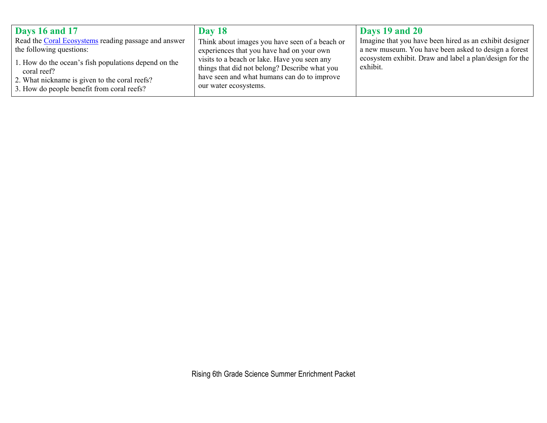| Days 16 and 17                                                                                                                                                     | <b>Day 18</b>                                                                                                                                                         | Days 19 and 20                                                      |
|--------------------------------------------------------------------------------------------------------------------------------------------------------------------|-----------------------------------------------------------------------------------------------------------------------------------------------------------------------|---------------------------------------------------------------------|
| Read the Coral Ecosystems reading passage and answer                                                                                                               | Think about images you have seen of a beach or                                                                                                                        | Imagine that you have been hired as an exhibit designer             |
| the following questions:                                                                                                                                           | experiences that you have had on your own                                                                                                                             | a new museum. You have been asked to design a forest                |
| 1. How do the ocean's fish populations depend on the<br>coral reef?<br>2. What nickname is given to the coral reefs?<br>3. How do people benefit from coral reefs? | visits to a beach or lake. Have you seen any<br>things that did not belong? Describe what you<br>have seen and what humans can do to improve<br>our water ecosystems. | ecosystem exhibit. Draw and label a plan/design for the<br>exhibit. |